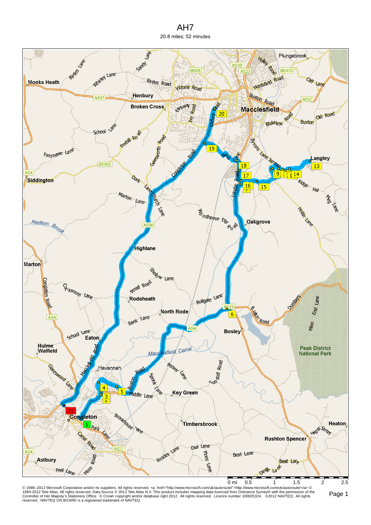



© 1988–2012 Microsoft Corporation and/or its suppliers. All rights reserved. ⊲a href="http://www.microsoft.com/uk/autoroute">http://www.microsoft.com/uk/autoroute/⊲a> ©<br>1984-2012 Tele Atlas. All rights reserved. Data Sour reserved. NAVTEQ ON BOARD is a registered trademark of NAVTEQ.

Page 1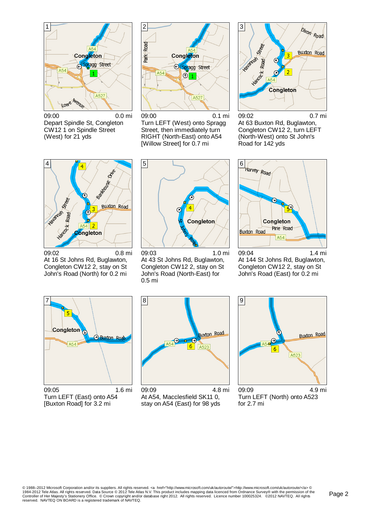

09:00 0.0 mi Depart Spindle St, Congleton CW12 1 on Spindle Street (West) for 21 yds



09:00 0.1 mi Turn LEFT (West) onto Spragg Street, then immediately turn RIGHT (North-East) onto A54 [Willow Street] for 0.7 mi



09:02 0.7 mi At 63 Buxton Rd, Buglawton, Congleton CW12 2, turn LEFT (North-West) onto St John's Road for 142 yds



09:02 0.8 mi At 16 St Johns Rd, Buglawton, Congleton CW12 2, stay on St John's Road (North) for 0.2 mi



09:03 1.0 mi At 43 St Johns Rd, Buglawton, Congleton CW12 2, stay on St John's Road (North-East) for 0.5 mi



09:04 1.4 mi At 144 St Johns Rd, Buglawton, Congleton CW12 2, stay on St John's Road (East) for 0.2 mi



09:05 1.6 mi Turn LEFT (East) onto A54 [Buxton Road] for 3.2 mi



09:09 4.8 mi At A54, Macclesfield SK11 0, stay on A54 (East) for 98 yds



09:09 4.9 mi Turn LEFT (North) onto A523 for 2.7 mi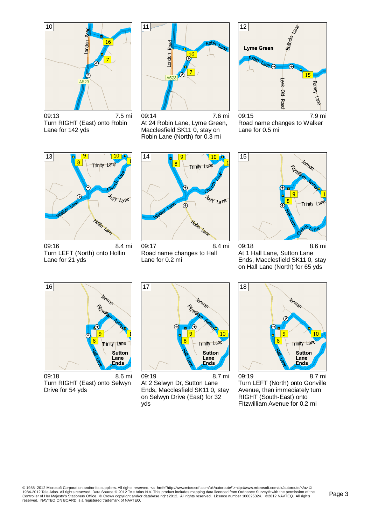

09:13 7.5 mi Turn RIGHT (East) onto Robin Lane for 142 yds



09:14 7.6 mi At 24 Robin Lane, Lyme Green, Macclesfield SK11 0, stay on Robin Lane (North) for 0.3 mi



09:15 7.9 mi Road name changes to Walker Lane for 0.5 mi



09:16 8.4 mi Turn LEFT (North) onto Hollin Lane for 21 yds



09:17 8.4 mi Road name changes to Hall Lane for 0.2 mi



09:18 8.6 mi At 1 Hall Lane, Sutton Lane Ends, Macclesfield SK11 0, stay on Hall Lane (North) for 65 yds



09:18 8.6 mi Turn RIGHT (East) onto Selwyn Drive for 54 yds



09:19 8.7 mi At 2 Selwyn Dr, Sutton Lane Ends, Macclesfield SK11 0, stay on Selwyn Drive (East) for 32 yds



09:19 8.7 mi Turn LEFT (North) onto Gonville Avenue, then immediately turn RIGHT (South-East) onto Fitzwilliam Avenue for 0.2 mi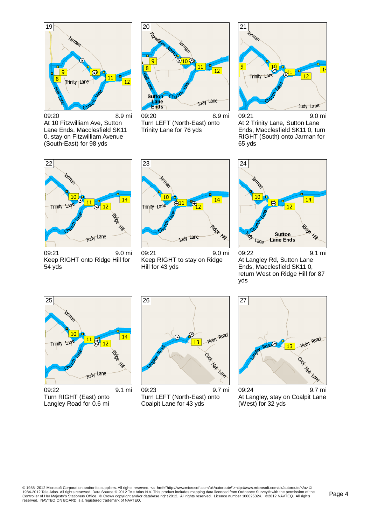

09:20 8.9 mi At 10 Fitzwilliam Ave, Sutton Lane Ends, Macclesfield SK11 0, stay on Fitzwilliam Avenue (South-East) for 98 yds



09:20 8.9 mi Turn LEFT (North-East) onto Trinity Lane for 76 yds



09:21 9.0 mi At 2 Trinity Lane, Sutton Lane Ends, Macclesfield SK11 0, turn RIGHT (South) onto Jarman for 65 yds



09:21 9.0 mi Keep RIGHT onto Ridge Hill for 54 yds



09:21 9.0 mi Keep RIGHT to stay on Ridge Hill for 43 yds



09:22 9.1 mi At Langley Rd, Sutton Lane Ends, Macclesfield SK11 0, return West on Ridge Hill for 87 yds



09:22 9.1 mi Turn RIGHT (East) onto Langley Road for 0.6 mi



09:23 9.7 mi Turn LEFT (North-East) onto Coalpit Lane for 43 yds



At Langley, stay on Coalpit Lane (West) for 32 yds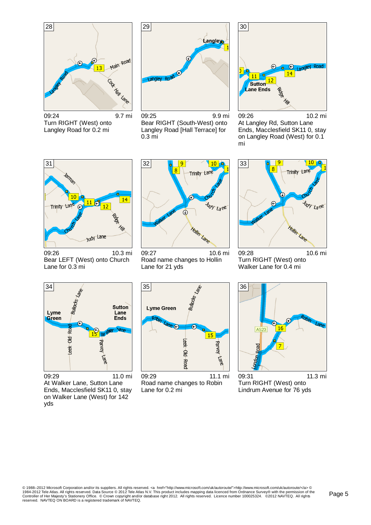

09:24 9.7 mi Turn RIGHT (West) onto Langley Road for 0.2 mi



09:25 9.9 mi Bear RIGHT (South-West) onto Langley Road [Hall Terrace] for 0.3 mi



09:26 10.2 mi At Langley Rd, Sutton Lane Ends, Macclesfield SK11 0, stay on Langley Road (West) for 0.1 mi



09:26 10.3 mi Bear LEFT (West) onto Church Lane for 0.3 mi



09:27 10.6 mi Road name changes to Hollin Lane for 21 yds



09:28 10.6 mi Turn RIGHT (West) onto Walker Lane for 0.4 mi



09:29 11.0 mi At Walker Lane, Sutton Lane Ends, Macclesfield SK11 0, stay on Walker Lane (West) for 142 yds



09:29 11.1 mi Road name changes to Robin Lane for 0.2 mi



09:31 11.3 mi Turn RIGHT (West) onto Lindrum Avenue for 76 yds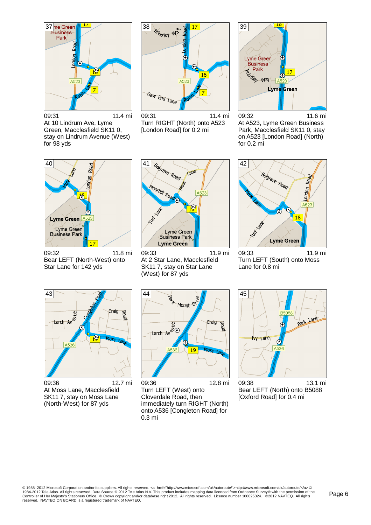

09:31 11.4 mi At 10 Lindrum Ave, Lyme Green, Macclesfield SK11 0, stay on Lindrum Avenue (West) for 98 yds



09:31 11.4 mi Turn RIGHT (North) onto A523 [London Road] for 0.2 mi



09:32 11.6 mi At A523, Lyme Green Business Park, Macclesfield SK11 0, stay on A523 [London Road] (North) for 0.2 mi



09:32 11.8 mi Bear LEFT (North-West) onto Star Lane for 142 yds



09:33 11.9 mi At 2 Star Lane, Macclesfield SK11 7, stay on Star Lane (West) for 87 yds



09:33 11.9 mi Turn LEFT (South) onto Moss Lane for 0.8 mi



09:36 12.7 mi At Moss Lane, Macclesfield SK11 7, stay on Moss Lane (North-West) for 87 yds



09:36 12.8 mi Turn LEFT (West) onto Cloverdale Road, then immediately turn RIGHT (North) onto A536 [Congleton Road] for 0.3 mi



09:38 13.1 mi Bear LEFT (North) onto B5088 [Oxford Road] for 0.4 mi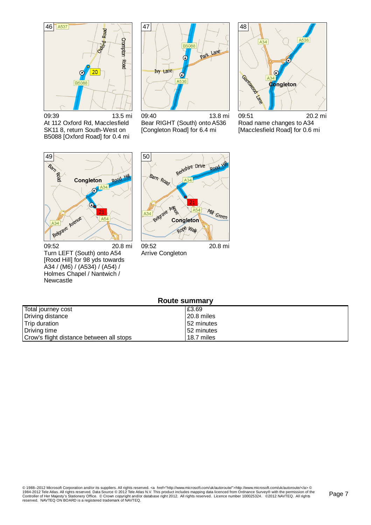

09:39 13.5 mi At 112 Oxford Rd, Macclesfield SK11 8, return South-West on B5088 [Oxford Road] for 0.4 mi



48  $\overline{A34}$ C Ciantage Call A34

09:40 13.8 mi Bear RIGHT (South) onto A536 [Congleton Road] for 6.4 mi

09:51 20.2 mi Road name changes to A34 [Macclesfield Road] for 0.6 mi



09:52 20.8 mi Turn LEFT (South) onto A54 [Rood Hill] for 98 yds towards A34 / (M6) / (A534) / (A54) / Holmes Chapel / Nantwich / Newcastle



Arrive Congleton

| <b>Route summary</b>                     |            |  |
|------------------------------------------|------------|--|
| Total journey cost                       | £3.69      |  |
| Driving distance                         | 20.8 miles |  |
| Trip duration                            | 52 minutes |  |
| Driving time                             | 52 minutes |  |
| Crow's flight distance between all stops | 18.7 miles |  |